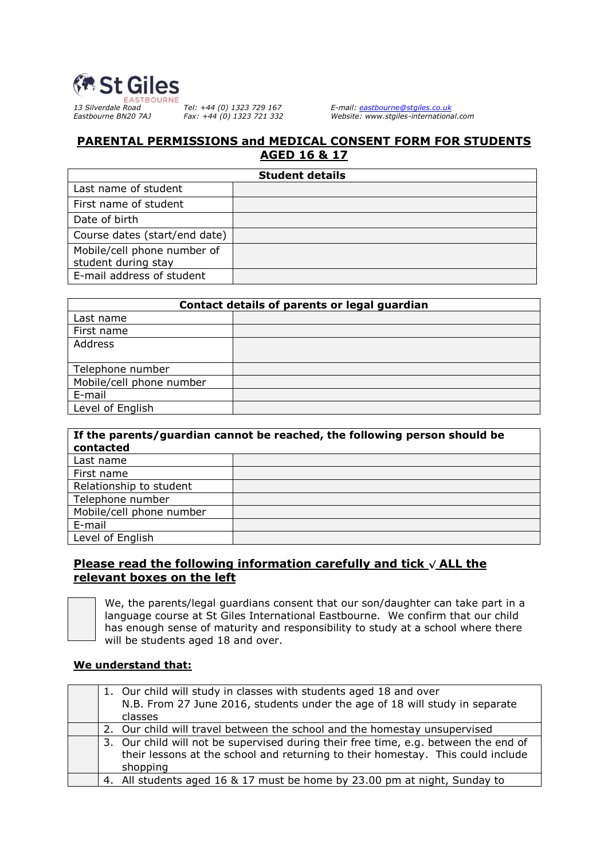

*13 Silverdale Road Tel: +44 (0) 1323 729 167 E-mail: [eastbourne@stgiles.co.uk](mailto:eastbourne@stgiles.co.uk) Eastbourne BN20 7AJ Fax: +44 (0) 1323 721 332 Website: www.stgiles-international.com*

# **PARENTAL PERMISSIONS and MEDICAL CONSENT FORM FOR STUDENTS AGED 16 & 17**

| <b>Student details</b>                             |  |  |
|----------------------------------------------------|--|--|
| Last name of student                               |  |  |
| First name of student                              |  |  |
| Date of birth                                      |  |  |
| Course dates (start/end date)                      |  |  |
| Mobile/cell phone number of<br>student during stay |  |  |
| E-mail address of student                          |  |  |

| Contact details of parents or legal guardian |  |  |
|----------------------------------------------|--|--|
| Last name                                    |  |  |
| First name                                   |  |  |
| Address                                      |  |  |
|                                              |  |  |
| Telephone number                             |  |  |
| Mobile/cell phone number                     |  |  |
| E-mail                                       |  |  |
| Level of English                             |  |  |

| If the parents/guardian cannot be reached, the following person should be<br>contacted |  |  |
|----------------------------------------------------------------------------------------|--|--|
| Last name                                                                              |  |  |
| First name                                                                             |  |  |
| Relationship to student                                                                |  |  |
| Telephone number                                                                       |  |  |
| Mobile/cell phone number                                                               |  |  |
| E-mail                                                                                 |  |  |
| Level of English                                                                       |  |  |

# **Please read the following information carefully and tick √ ALL the relevant boxes on the left**



We, the parents/legal guardians consent that our son/daughter can take part in a language course at St Giles International Eastbourne. We confirm that our child has enough sense of maturity and responsibility to study at a school where there will be students aged 18 and over.

# **We understand that:**

|  | 1. Our child will study in classes with students aged 18 and over<br>N.B. From 27 June 2016, students under the age of 18 will study in separate<br>classes                        |
|--|------------------------------------------------------------------------------------------------------------------------------------------------------------------------------------|
|  | 2. Our child will travel between the school and the homestay unsupervised                                                                                                          |
|  | 3. Our child will not be supervised during their free time, e.g. between the end of<br>their lessons at the school and returning to their homestay. This could include<br>shopping |
|  | 4. All students aged 16 & 17 must be home by 23.00 pm at night, Sunday to                                                                                                          |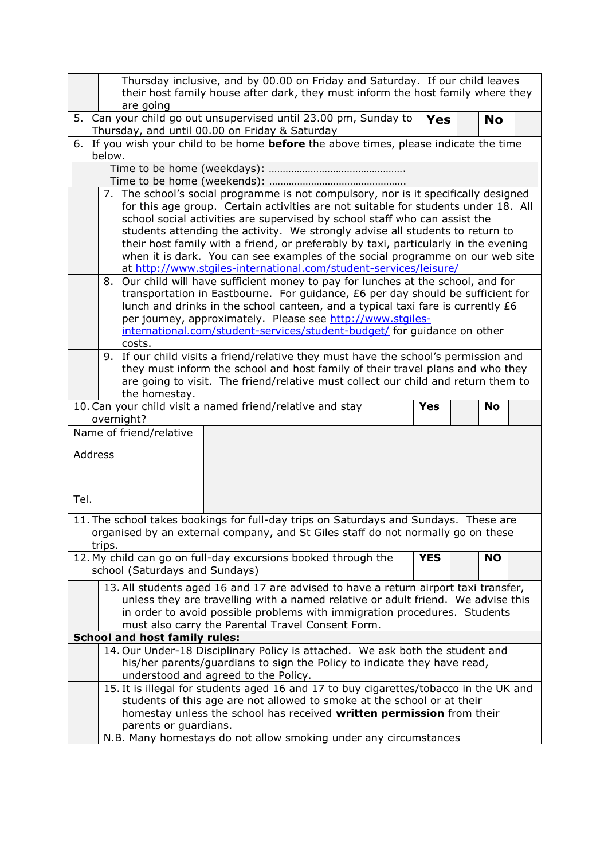|         |                                                                                                                                                                                                                                                                                                                                                                                                                                                                                                                                                                                       | Thursday inclusive, and by 00.00 on Friday and Saturday. If our child leaves                                                                  |           |  |  |
|---------|---------------------------------------------------------------------------------------------------------------------------------------------------------------------------------------------------------------------------------------------------------------------------------------------------------------------------------------------------------------------------------------------------------------------------------------------------------------------------------------------------------------------------------------------------------------------------------------|-----------------------------------------------------------------------------------------------------------------------------------------------|-----------|--|--|
|         | are going                                                                                                                                                                                                                                                                                                                                                                                                                                                                                                                                                                             | their host family house after dark, they must inform the host family where they                                                               |           |  |  |
|         | 5. Can your child go out unsupervised until 23.00 pm, Sunday to<br><b>Yes</b><br><b>No</b><br>Thursday, and until 00.00 on Friday & Saturday                                                                                                                                                                                                                                                                                                                                                                                                                                          |                                                                                                                                               |           |  |  |
|         | 6. If you wish your child to be home <b>before</b> the above times, please indicate the time                                                                                                                                                                                                                                                                                                                                                                                                                                                                                          |                                                                                                                                               |           |  |  |
|         | below.                                                                                                                                                                                                                                                                                                                                                                                                                                                                                                                                                                                |                                                                                                                                               |           |  |  |
|         |                                                                                                                                                                                                                                                                                                                                                                                                                                                                                                                                                                                       |                                                                                                                                               |           |  |  |
|         |                                                                                                                                                                                                                                                                                                                                                                                                                                                                                                                                                                                       |                                                                                                                                               |           |  |  |
|         | 7. The school's social programme is not compulsory, nor is it specifically designed<br>for this age group. Certain activities are not suitable for students under 18. All<br>school social activities are supervised by school staff who can assist the<br>students attending the activity. We strongly advise all students to return to<br>their host family with a friend, or preferably by taxi, particularly in the evening<br>when it is dark. You can see examples of the social programme on our web site<br>at http://www.stgiles-international.com/student-services/leisure/ |                                                                                                                                               |           |  |  |
|         |                                                                                                                                                                                                                                                                                                                                                                                                                                                                                                                                                                                       | 8. Our child will have sufficient money to pay for lunches at the school, and for                                                             |           |  |  |
|         |                                                                                                                                                                                                                                                                                                                                                                                                                                                                                                                                                                                       | transportation in Eastbourne. For guidance, £6 per day should be sufficient for                                                               |           |  |  |
|         |                                                                                                                                                                                                                                                                                                                                                                                                                                                                                                                                                                                       | lunch and drinks in the school canteen, and a typical taxi fare is currently £6<br>per journey, approximately. Please see http://www.stgiles- |           |  |  |
|         |                                                                                                                                                                                                                                                                                                                                                                                                                                                                                                                                                                                       | international.com/student-services/student-budget/ for guidance on other                                                                      |           |  |  |
|         | costs.                                                                                                                                                                                                                                                                                                                                                                                                                                                                                                                                                                                |                                                                                                                                               |           |  |  |
|         |                                                                                                                                                                                                                                                                                                                                                                                                                                                                                                                                                                                       | 9. If our child visits a friend/relative they must have the school's permission and                                                           |           |  |  |
|         |                                                                                                                                                                                                                                                                                                                                                                                                                                                                                                                                                                                       | they must inform the school and host family of their travel plans and who they                                                                |           |  |  |
|         |                                                                                                                                                                                                                                                                                                                                                                                                                                                                                                                                                                                       | are going to visit. The friend/relative must collect our child and return them to                                                             |           |  |  |
|         | the homestay.                                                                                                                                                                                                                                                                                                                                                                                                                                                                                                                                                                         | 10. Can your child visit a named friend/relative and stay<br><b>Yes</b>                                                                       | <b>No</b> |  |  |
|         | overnight?                                                                                                                                                                                                                                                                                                                                                                                                                                                                                                                                                                            |                                                                                                                                               |           |  |  |
|         | Name of friend/relative                                                                                                                                                                                                                                                                                                                                                                                                                                                                                                                                                               |                                                                                                                                               |           |  |  |
| Address |                                                                                                                                                                                                                                                                                                                                                                                                                                                                                                                                                                                       |                                                                                                                                               |           |  |  |
|         |                                                                                                                                                                                                                                                                                                                                                                                                                                                                                                                                                                                       |                                                                                                                                               |           |  |  |
|         |                                                                                                                                                                                                                                                                                                                                                                                                                                                                                                                                                                                       |                                                                                                                                               |           |  |  |
| Tel.    |                                                                                                                                                                                                                                                                                                                                                                                                                                                                                                                                                                                       |                                                                                                                                               |           |  |  |
|         |                                                                                                                                                                                                                                                                                                                                                                                                                                                                                                                                                                                       |                                                                                                                                               |           |  |  |
|         |                                                                                                                                                                                                                                                                                                                                                                                                                                                                                                                                                                                       | 11. The school takes bookings for full-day trips on Saturdays and Sundays. These are                                                          |           |  |  |
|         | trips.                                                                                                                                                                                                                                                                                                                                                                                                                                                                                                                                                                                | organised by an external company, and St Giles staff do not normally go on these                                                              |           |  |  |
|         |                                                                                                                                                                                                                                                                                                                                                                                                                                                                                                                                                                                       | 12. My child can go on full-day excursions booked through the<br><b>YES</b>                                                                   | <b>NO</b> |  |  |
|         | school (Saturdays and Sundays)                                                                                                                                                                                                                                                                                                                                                                                                                                                                                                                                                        |                                                                                                                                               |           |  |  |
|         |                                                                                                                                                                                                                                                                                                                                                                                                                                                                                                                                                                                       | 13. All students aged 16 and 17 are advised to have a return airport taxi transfer,                                                           |           |  |  |
|         |                                                                                                                                                                                                                                                                                                                                                                                                                                                                                                                                                                                       | unless they are travelling with a named relative or adult friend. We advise this                                                              |           |  |  |
|         |                                                                                                                                                                                                                                                                                                                                                                                                                                                                                                                                                                                       | in order to avoid possible problems with immigration procedures. Students                                                                     |           |  |  |
|         | <b>School and host family rules:</b>                                                                                                                                                                                                                                                                                                                                                                                                                                                                                                                                                  | must also carry the Parental Travel Consent Form.                                                                                             |           |  |  |
|         |                                                                                                                                                                                                                                                                                                                                                                                                                                                                                                                                                                                       | 14. Our Under-18 Disciplinary Policy is attached. We ask both the student and                                                                 |           |  |  |
|         |                                                                                                                                                                                                                                                                                                                                                                                                                                                                                                                                                                                       | his/her parents/guardians to sign the Policy to indicate they have read,                                                                      |           |  |  |
|         |                                                                                                                                                                                                                                                                                                                                                                                                                                                                                                                                                                                       | understood and agreed to the Policy.                                                                                                          |           |  |  |
|         |                                                                                                                                                                                                                                                                                                                                                                                                                                                                                                                                                                                       | 15. It is illegal for students aged 16 and 17 to buy cigarettes/tobacco in the UK and                                                         |           |  |  |
|         | students of this age are not allowed to smoke at the school or at their                                                                                                                                                                                                                                                                                                                                                                                                                                                                                                               |                                                                                                                                               |           |  |  |
|         | homestay unless the school has received written permission from their<br>parents or guardians.                                                                                                                                                                                                                                                                                                                                                                                                                                                                                        |                                                                                                                                               |           |  |  |
|         | N.B. Many homestays do not allow smoking under any circumstances                                                                                                                                                                                                                                                                                                                                                                                                                                                                                                                      |                                                                                                                                               |           |  |  |